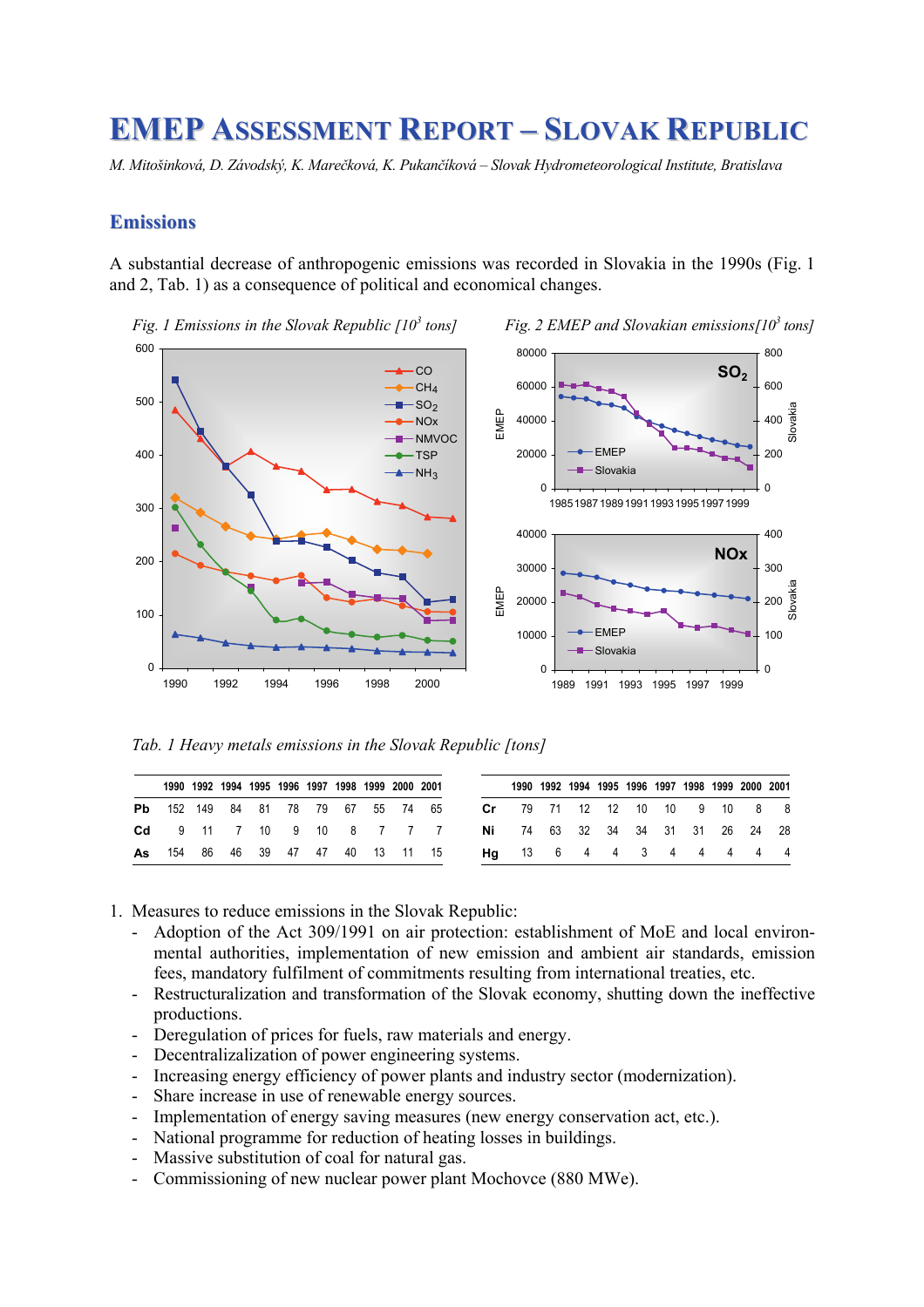# **EMEP ASSESSMENT REPORT – SLOVAK REPUBLIC**

*M. Mitošinková, D. Závodský, K. Marečková, K. Pukančíková – Slovak Hydrometeorological Institute, Bratislava* 

## **Emissions**

A substantial decrease of anthropogenic emissions was recorded in Slovakia in the 1990s (Fig. 1 and 2, Tab. 1) as a consequence of political and economical changes.



*Fig. 1 Emissions in the Slovak Republic [10<sup>3</sup> tons] Fig. 2 EMEP and Slovakian emissions[103 tons]*



|                                           |  | 1990 1992 1994 1995 1996 1997 1998 1999 2000 2001 |  |  |                                                                          |                                      | 1990 1992 1994 1995 1996 1997 1998 1999 2000 2001 |  |  |  |  |
|-------------------------------------------|--|---------------------------------------------------|--|--|--------------------------------------------------------------------------|--------------------------------------|---------------------------------------------------|--|--|--|--|
| <b>Pb</b> 152 149 84 81 78 79 67 55 74 65 |  |                                                   |  |  |                                                                          | <b>Cr</b> 79 71 12 12 10 10 9 10 8 8 |                                                   |  |  |  |  |
|                                           |  |                                                   |  |  | <b>Cd</b> 9 11 7 10 9 10 8 7 7 7 <b>Ni</b> 74 63 32 34 34 31 31 26 24 28 |                                      |                                                   |  |  |  |  |
|                                           |  |                                                   |  |  | <b>As</b> 154 86 46 39 47 47 40 13 11 15 <b>Hg</b> 13 6 4 4 3 4 4 4 4 4  |                                      |                                                   |  |  |  |  |

- 1. Measures to reduce emissions in the Slovak Republic:
	- Adoption of the Act 309/1991 on air protection: establishment of MoE and local environmental authorities, implementation of new emission and ambient air standards, emission fees, mandatory fulfilment of commitments resulting from international treaties, etc.
	- Restructuralization and transformation of the Slovak economy, shutting down the ineffective productions.
	- Deregulation of prices for fuels, raw materials and energy.
	- Decentralizalization of power engineering systems.
	- Increasing energy efficiency of power plants and industry sector (modernization).
	- Share increase in use of renewable energy sources.
	- Implementation of energy saving measures (new energy conservation act, etc.).
	- National programme for reduction of heating losses in buildings.
	- Massive substitution of coal for natural gas.
	- Commissioning of new nuclear power plant Mochovce (880 MWe).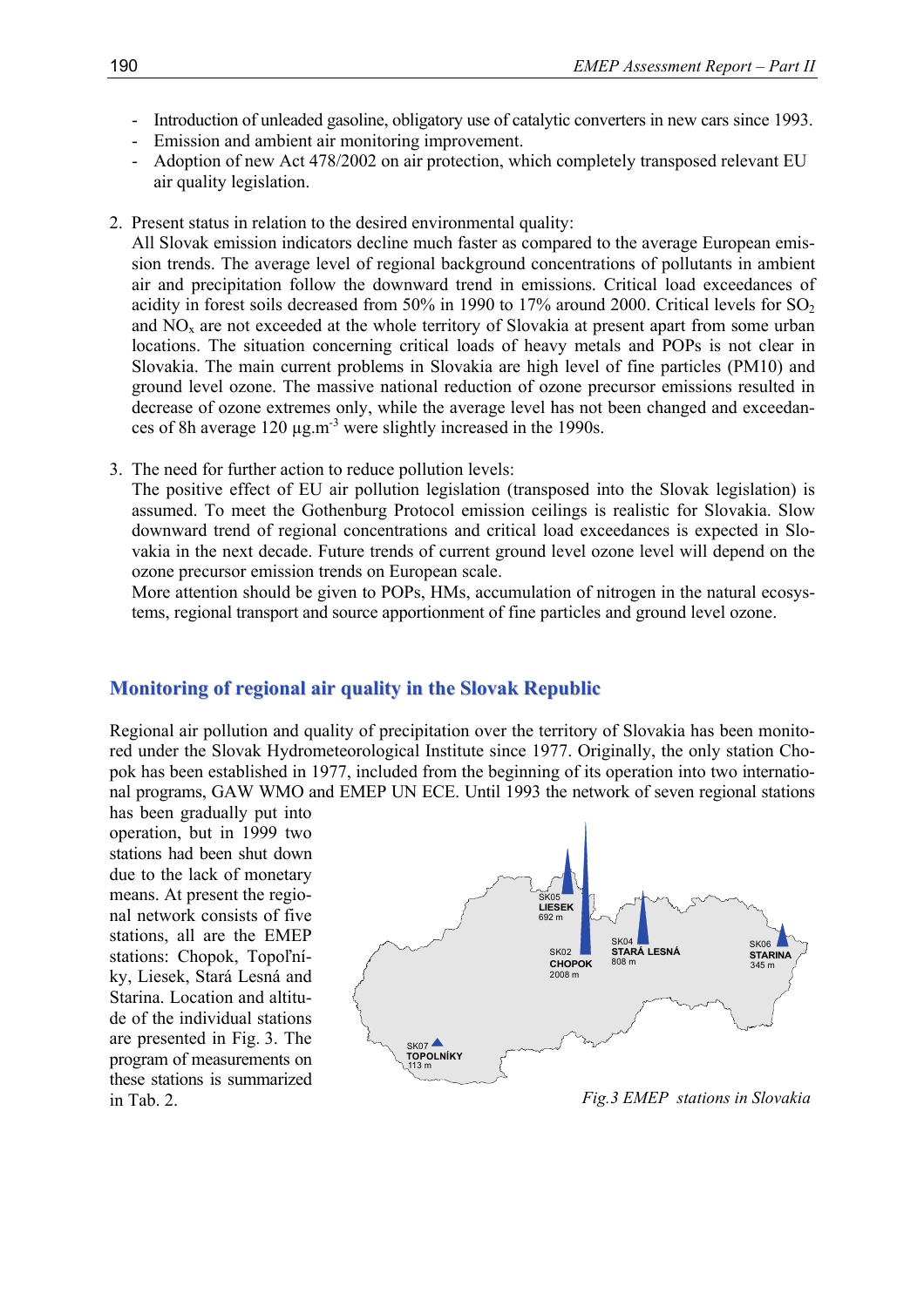- Introduction of unleaded gasoline, obligatory use of catalytic converters in new cars since 1993.
- Emission and ambient air monitoring improvement.
- Adoption of new Act 478/2002 on air protection, which completely transposed relevant EU air quality legislation.
- 2. Present status in relation to the desired environmental quality:

All Slovak emission indicators decline much faster as compared to the average European emission trends. The average level of regional background concentrations of pollutants in ambient air and precipitation follow the downward trend in emissions. Critical load exceedances of acidity in forest soils decreased from 50% in 1990 to 17% around 2000. Critical levels for  $SO<sub>2</sub>$ and  $NO<sub>x</sub>$  are not exceeded at the whole territory of Slovakia at present apart from some urban locations. The situation concerning critical loads of heavy metals and POPs is not clear in Slovakia. The main current problems in Slovakia are high level of fine particles (PM10) and ground level ozone. The massive national reduction of ozone precursor emissions resulted in decrease of ozone extremes only, while the average level has not been changed and exceedances of 8h average 120 µg.m-3 were slightly increased in the 1990s.

3. The need for further action to reduce pollution levels:

The positive effect of EU air pollution legislation (transposed into the Slovak legislation) is assumed. To meet the Gothenburg Protocol emission ceilings is realistic for Slovakia. Slow downward trend of regional concentrations and critical load exceedances is expected in Slovakia in the next decade. Future trends of current ground level ozone level will depend on the ozone precursor emission trends on European scale.

More attention should be given to POPs, HMs, accumulation of nitrogen in the natural ecosystems, regional transport and source apportionment of fine particles and ground level ozone.

## **Monitoring of regional air quality in the Slovak Republic**

Regional air pollution and quality of precipitation over the territory of Slovakia has been monitored under the Slovak Hydrometeorological Institute since 1977. Originally, the only station Chopok has been established in 1977, included from the beginning of its operation into two international programs, GAW WMO and EMEP UN ECE. Until 1993 the network of seven regional stations

has been gradually put into operation, but in 1999 two stations had been shut down due to the lack of monetary means. At present the regional network consists of five stations, all are the EMEP stations: Chopok, Topoľníky, Liesek, Stará Lesná and Starina. Location and altitude of the individual stations are presented in Fig. 3. The program of measurements on these stations is summarized in Tab. 2.



*Fig.3 EMEP stations in Slovakia*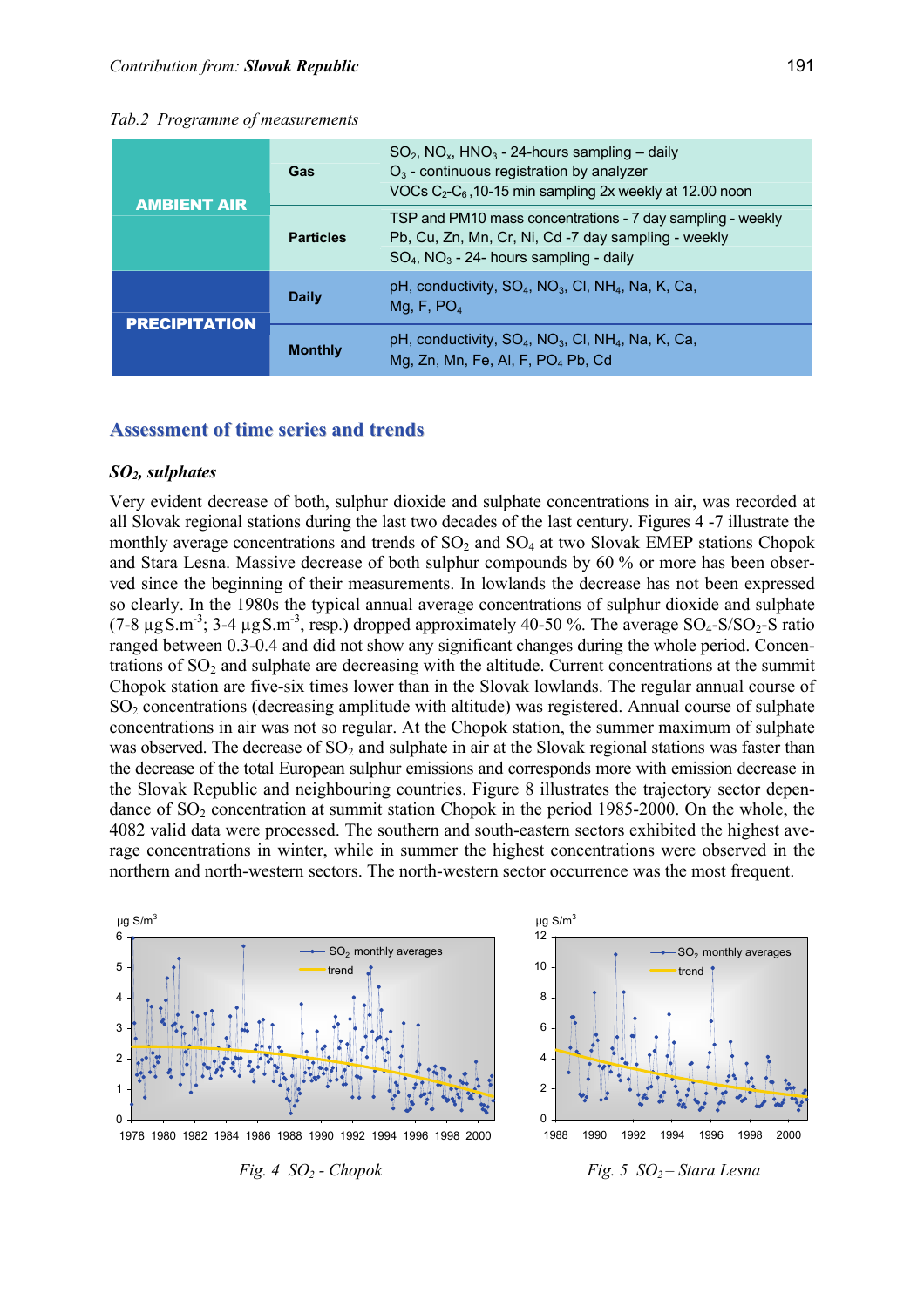#### *Tab.2 Programme of measurements*

| <b>AMBIENT AIR</b>   | Gas              | $SO_2$ , NO <sub>x</sub> , HNO <sub>3</sub> - 24-hours sampling – daily<br>$O_3$ - continuous registration by analyzer<br>VOCs $C_2-C_6$ , 10-15 min sampling 2x weekly at 12.00 noon |
|----------------------|------------------|---------------------------------------------------------------------------------------------------------------------------------------------------------------------------------------|
|                      | <b>Particles</b> | TSP and PM10 mass concentrations - 7 day sampling - weekly<br>Pb, Cu, Zn, Mn, Cr, Ni, Cd -7 day sampling - weekly<br>$SO_4$ , NO <sub>3</sub> - 24- hours sampling - daily            |
| <b>PRECIPITATION</b> | <b>Daily</b>     | pH, conductivity, $SO_4$ , $NO_3$ , CI, $NH_4$ , Na, K, Ca,<br>Mg, F, $PO4$                                                                                                           |
|                      | <b>Monthly</b>   | pH, conductivity, $SO_4$ , $NO_3$ , CI, NH <sub>4</sub> , Na, K, Ca,<br>Mg, Zn, Mn, Fe, Al, F, PO <sub>4</sub> Pb, Cd                                                                 |

## **Assessment of time series and trends**

## *SO2, sulphates*

Very evident decrease of both, sulphur dioxide and sulphate concentrations in air, was recorded at all Slovak regional stations during the last two decades of the last century. Figures 4 -7 illustrate the monthly average concentrations and trends of  $SO_2$  and  $SO_4$  at two Slovak EMEP stations Chopok and Stara Lesna. Massive decrease of both sulphur compounds by 60 % or more has been observed since the beginning of their measurements. In lowlands the decrease has not been expressed so clearly. In the 1980s the typical annual average concentrations of sulphur dioxide and sulphate (7-8  $\mu$ g S.m<sup>-3</sup>; 3-4  $\mu$ g S.m<sup>-3</sup>, resp.) dropped approximately 40-50 %. The average SO<sub>4</sub>-S/SO<sub>2</sub>-S ratio ranged between 0.3-0.4 and did not show any significant changes during the whole period. Concentrations of  $SO<sub>2</sub>$  and sulphate are decreasing with the altitude. Current concentrations at the summit Chopok station are five-six times lower than in the Slovak lowlands. The regular annual course of SO2 concentrations (decreasing amplitude with altitude) was registered. Annual course of sulphate concentrations in air was not so regular. At the Chopok station, the summer maximum of sulphate was observed. The decrease of  $SO<sub>2</sub>$  and sulphate in air at the Slovak regional stations was faster than the decrease of the total European sulphur emissions and corresponds more with emission decrease in the Slovak Republic and neighbouring countries. Figure 8 illustrates the trajectory sector dependance of  $SO<sub>2</sub>$  concentration at summit station Chopok in the period 1985-2000. On the whole, the 4082 valid data were processed. The southern and south-eastern sectors exhibited the highest average concentrations in winter, while in summer the highest concentrations were observed in the northern and north-western sectors. The north-western sector occurrence was the most frequent.





*Fig. 4 SO2 - Chopok Fig. 5 SO2 – Stara Lesna*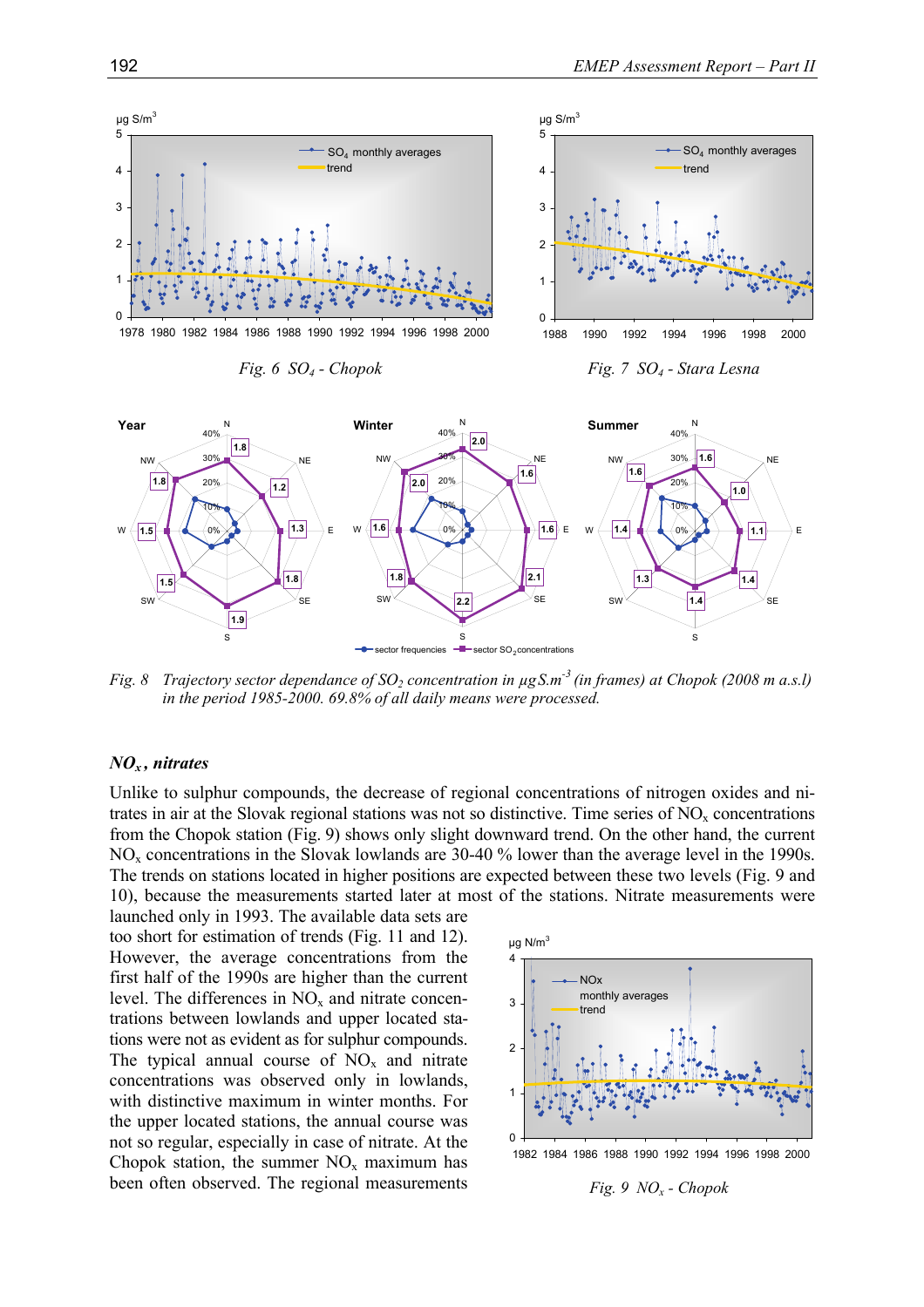

*Fig. 8 Trajectory sector dependance of SO<sub>2</sub> concentration in*  $\mu$ *gS.m<sup>-3</sup> (in frames) at Chopok (2008 m a.s.l) in the period 1985-2000. 69.8% of all daily means were processed.* 

#### *NOx , nitrates*

Unlike to sulphur compounds, the decrease of regional concentrations of nitrogen oxides and nitrates in air at the Slovak regional stations was not so distinctive. Time series of  $NO<sub>x</sub>$  concentrations from the Chopok station (Fig. 9) shows only slight downward trend. On the other hand, the current NO<sub>x</sub> concentrations in the Slovak lowlands are 30-40 % lower than the average level in the 1990s. The trends on stations located in higher positions are expected between these two levels (Fig. 9 and 10), because the measurements started later at most of the stations. Nitrate measurements were

launched only in 1993. The available data sets are too short for estimation of trends (Fig. 11 and 12). However, the average concentrations from the first half of the 1990s are higher than the current level. The differences in  $NO<sub>x</sub>$  and nitrate concentrations between lowlands and upper located stations were not as evident as for sulphur compounds. The typical annual course of  $NO<sub>x</sub>$  and nitrate concentrations was observed only in lowlands, with distinctive maximum in winter months. For the upper located stations, the annual course was not so regular, especially in case of nitrate. At the Chopok station, the summer  $NO<sub>x</sub>$  maximum has been often observed. The regional measurements



*Fig. 9 NOx - Chopok*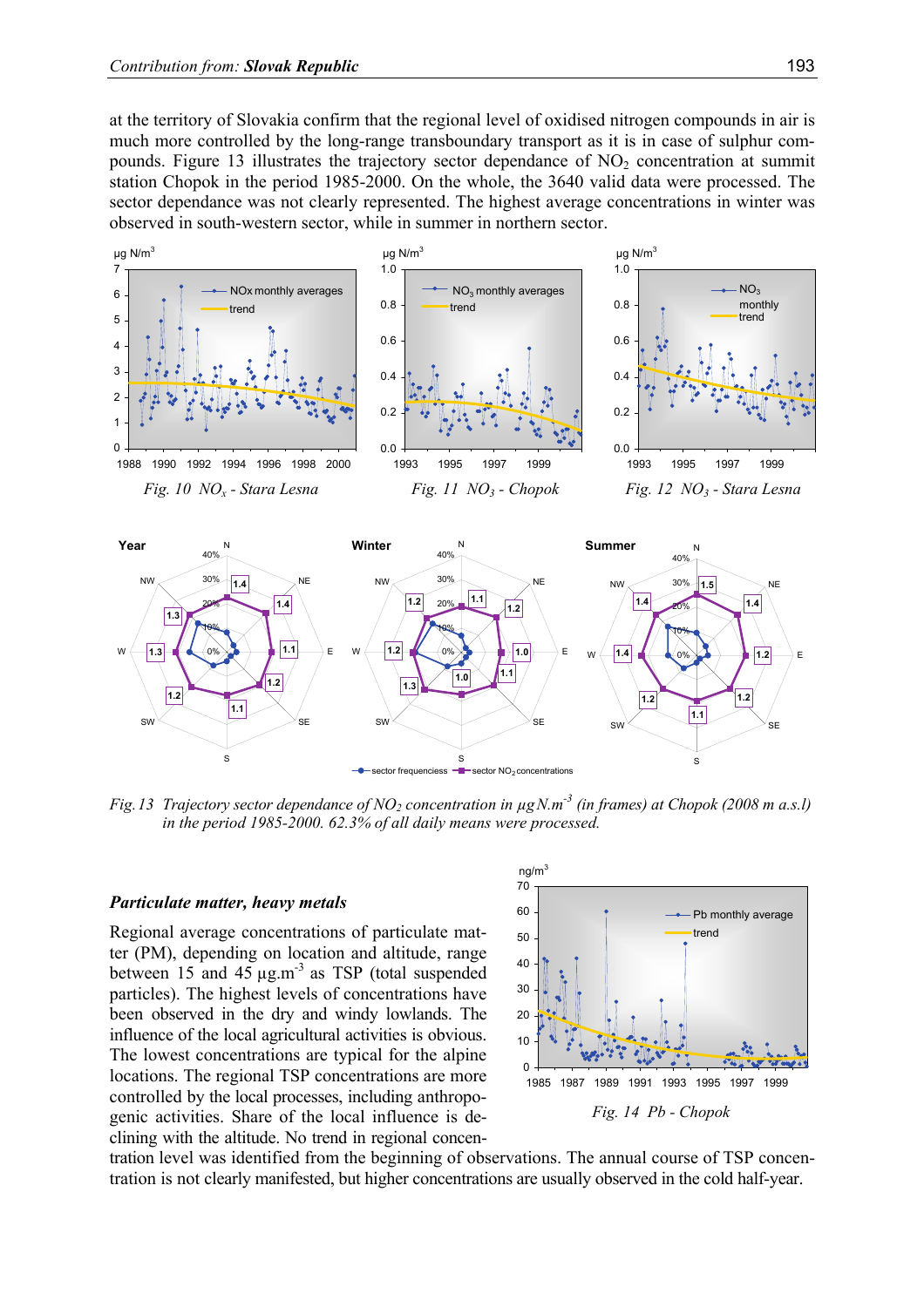at the territory of Slovakia confirm that the regional level of oxidised nitrogen compounds in air is much more controlled by the long-range transboundary transport as it is in case of sulphur compounds. Figure 13 illustrates the trajectory sector dependance of  $NO<sub>2</sub>$  concentration at summit station Chopok in the period 1985-2000. On the whole, the 3640 valid data were processed. The sector dependance was not clearly represented. The highest average concentrations in winter was observed in south-western sector, while in summer in northern sector.



*Fig.13 Trajectory sector dependance of NO<sub>2</sub> concentration in*  $\mu$ *gN.m<sup>-3</sup> (in frames) at Chopok (2008 m a.s.l) in the period 1985-2000. 62.3% of all daily means were processed.* 

#### *Particulate matter, heavy metals*

Regional average concentrations of particulate matter (PM), depending on location and altitude, range between 15 and 45  $\mu$ g.m<sup>-3</sup> as TSP (total suspended particles). The highest levels of concentrations have been observed in the dry and windy lowlands. The influence of the local agricultural activities is obvious. The lowest concentrations are typical for the alpine locations. The regional TSP concentrations are more controlled by the local processes, including anthropogenic activities. Share of the local influence is declining with the altitude. No trend in regional concen-



tration level was identified from the beginning of observations. The annual course of TSP concentration is not clearly manifested, but higher concentrations are usually observed in the cold half-year.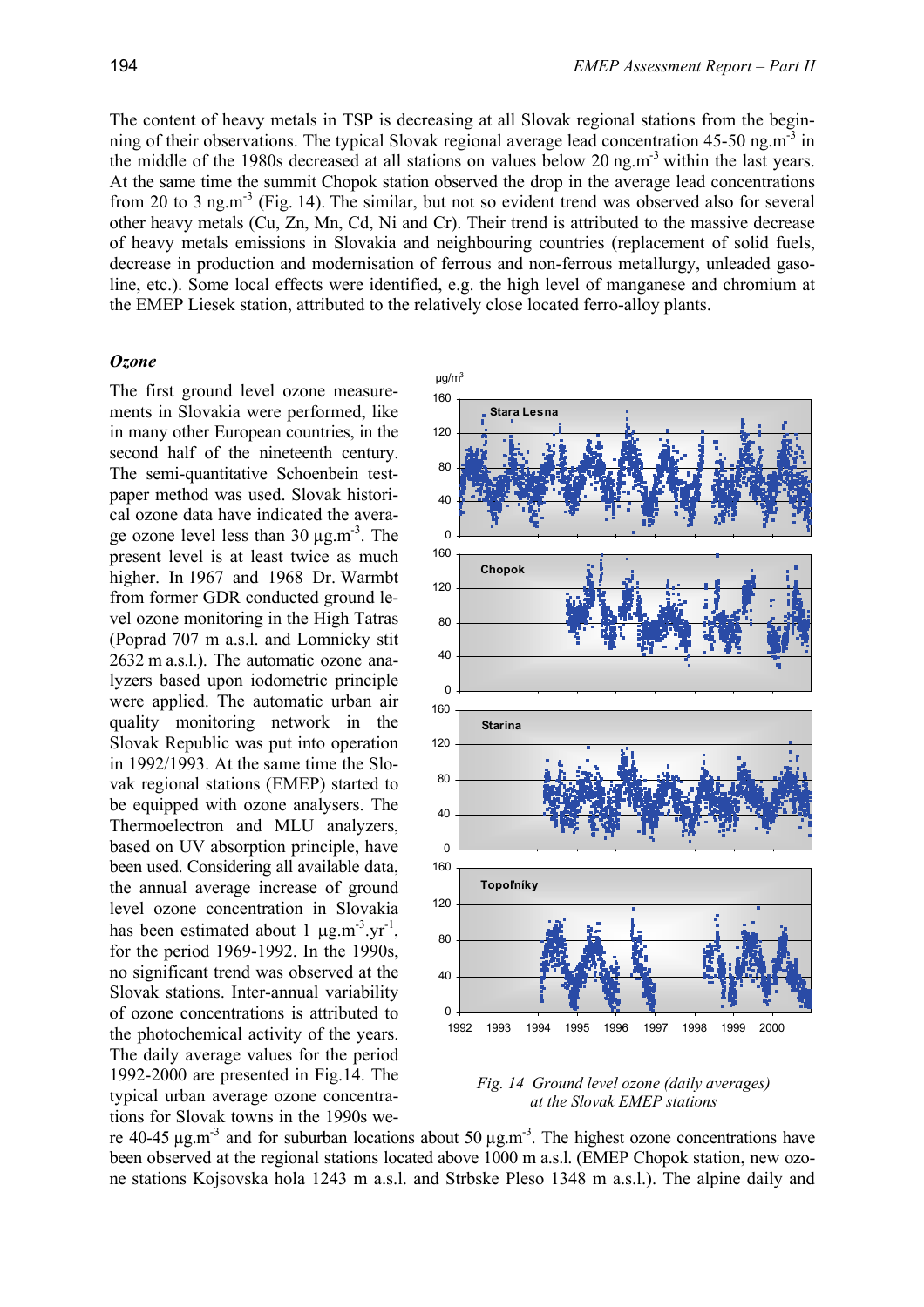The content of heavy metals in TSP is decreasing at all Slovak regional stations from the beginning of their observations. The typical Slovak regional average lead concentration 45-50 ng.m<sup>-3</sup> in the middle of the 1980s decreased at all stations on values below 20 ng.m<sup>-3</sup> within the last years. At the same time the summit Chopok station observed the drop in the average lead concentrations from 20 to 3 ng.m<sup>-3</sup> (Fig. 14). The similar, but not so evident trend was observed also for several other heavy metals (Cu, Zn, Mn, Cd, Ni and Cr). Their trend is attributed to the massive decrease of heavy metals emissions in Slovakia and neighbouring countries (replacement of solid fuels, decrease in production and modernisation of ferrous and non-ferrous metallurgy, unleaded gasoline, etc.). Some local effects were identified, e.g. the high level of manganese and chromium at the EMEP Liesek station, attributed to the relatively close located ferro-alloy plants.

#### *Ozone*

The first ground level ozone measurements in Slovakia were performed, like in many other European countries, in the second half of the nineteenth century. The semi-quantitative Schoenbein testpaper method was used. Slovak historical ozone data have indicated the average ozone level less than  $30 \mu g.m^{-3}$ . The present level is at least twice as much higher. In 1967 and 1968 Dr. Warmbt from former GDR conducted ground level ozone monitoring in the High Tatras (Poprad 707 m a.s.l. and Lomnicky stit 2632 m a.s.l.). The automatic ozone analyzers based upon iodometric principle were applied. The automatic urban air quality monitoring network in the Slovak Republic was put into operation in 1992/1993. At the same time the Slovak regional stations (EMEP) started to be equipped with ozone analysers. The Thermoelectron and MLU analyzers, based on UV absorption principle, have been used. Considering all available data, the annual average increase of ground level ozone concentration in Slovakia has been estimated about 1  $\mu$ g.m<sup>-3</sup>.yr<sup>-1</sup>, for the period 1969-1992. In the 1990s, no significant trend was observed at the Slovak stations. Inter-annual variability of ozone concentrations is attributed to the photochemical activity of the years. The daily average values for the period 1992-2000 are presented in Fig.14. The typical urban average ozone concentrations for Slovak towns in the 1990s we-



*Fig. 14 Ground level ozone (daily averages) at the Slovak EMEP stations*

re 40-45  $\mu$ g.m<sup>-3</sup> and for suburban locations about 50  $\mu$ g.m<sup>-3</sup>. The highest ozone concentrations have been observed at the regional stations located above 1000 m a.s.l. (EMEP Chopok station, new ozone stations Kojsovska hola 1243 m a.s.l. and Strbske Pleso 1348 m a.s.l.). The alpine daily and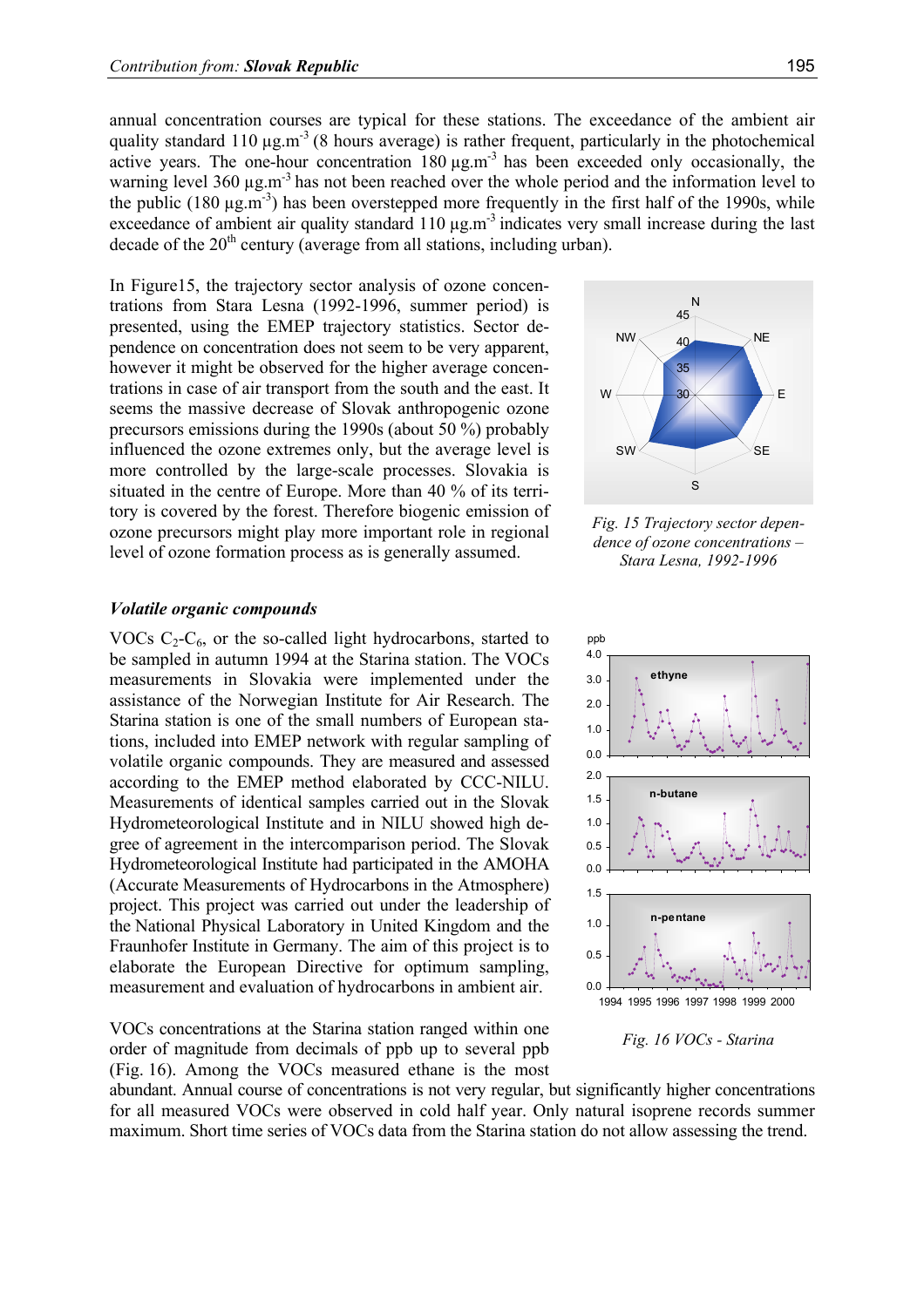annual concentration courses are typical for these stations. The exceedance of the ambient air quality standard 110  $\mu$ g.m<sup>-3</sup> (8 hours average) is rather frequent, particularly in the photochemical active years. The one-hour concentration  $180 \mu g.m^{-3}$  has been exceeded only occasionally, the warning level 360  $\mu$ g.m<sup>-3</sup> has not been reached over the whole period and the information level to the public (180  $\mu$ g.m<sup>-3</sup>) has been overstepped more frequently in the first half of the 1990s, while exceedance of ambient air quality standard  $110 \mu g.m^{-3}$  indicates very small increase during the last decade of the  $20<sup>th</sup>$  century (average from all stations, including urban).

In Figure15, the trajectory sector analysis of ozone concentrations from Stara Lesna (1992-1996, summer period) is presented, using the EMEP trajectory statistics. Sector dependence on concentration does not seem to be very apparent, however it might be observed for the higher average concentrations in case of air transport from the south and the east. It seems the massive decrease of Slovak anthropogenic ozone precursors emissions during the 1990s (about 50 %) probably influenced the ozone extremes only, but the average level is more controlled by the large-scale processes. Slovakia is situated in the centre of Europe. More than 40 % of its territory is covered by the forest. Therefore biogenic emission of ozone precursors might play more important role in regional level of ozone formation process as is generally assumed.

#### *Volatile organic compounds*

VOCs  $C_2-C_6$ , or the so-called light hydrocarbons, started to be sampled in autumn 1994 at the Starina station. The VOCs measurements in Slovakia were implemented under the assistance of the Norwegian Institute for Air Research. The Starina station is one of the small numbers of European stations, included into EMEP network with regular sampling of volatile organic compounds. They are measured and assessed according to the EMEP method elaborated by CCC-NILU. Measurements of identical samples carried out in the Slovak Hydrometeorological Institute and in NILU showed high degree of agreement in the intercomparison period. The Slovak Hydrometeorological Institute had participated in the AMOHA (Accurate Measurements of Hydrocarbons in the Atmosphere) project. This project was carried out under the leadership of the National Physical Laboratory in United Kingdom and the Fraunhofer Institute in Germany. The aim of this project is to elaborate the European Directive for optimum sampling, measurement and evaluation of hydrocarbons in ambient air.

VOCs concentrations at the Starina station ranged within one order of magnitude from decimals of ppb up to several ppb (Fig. 16). Among the VOCs measured ethane is the most





abundant. Annual course of concentrations is not very regular, but significantly higher concentrations for all measured VOCs were observed in cold half year. Only natural isoprene records summer maximum. Short time series of VOCs data from the Starina station do not allow assessing the trend.



*Fig. 15 Trajectory sector dependence of ozone concentrations – Stara Lesna, 1992-1996*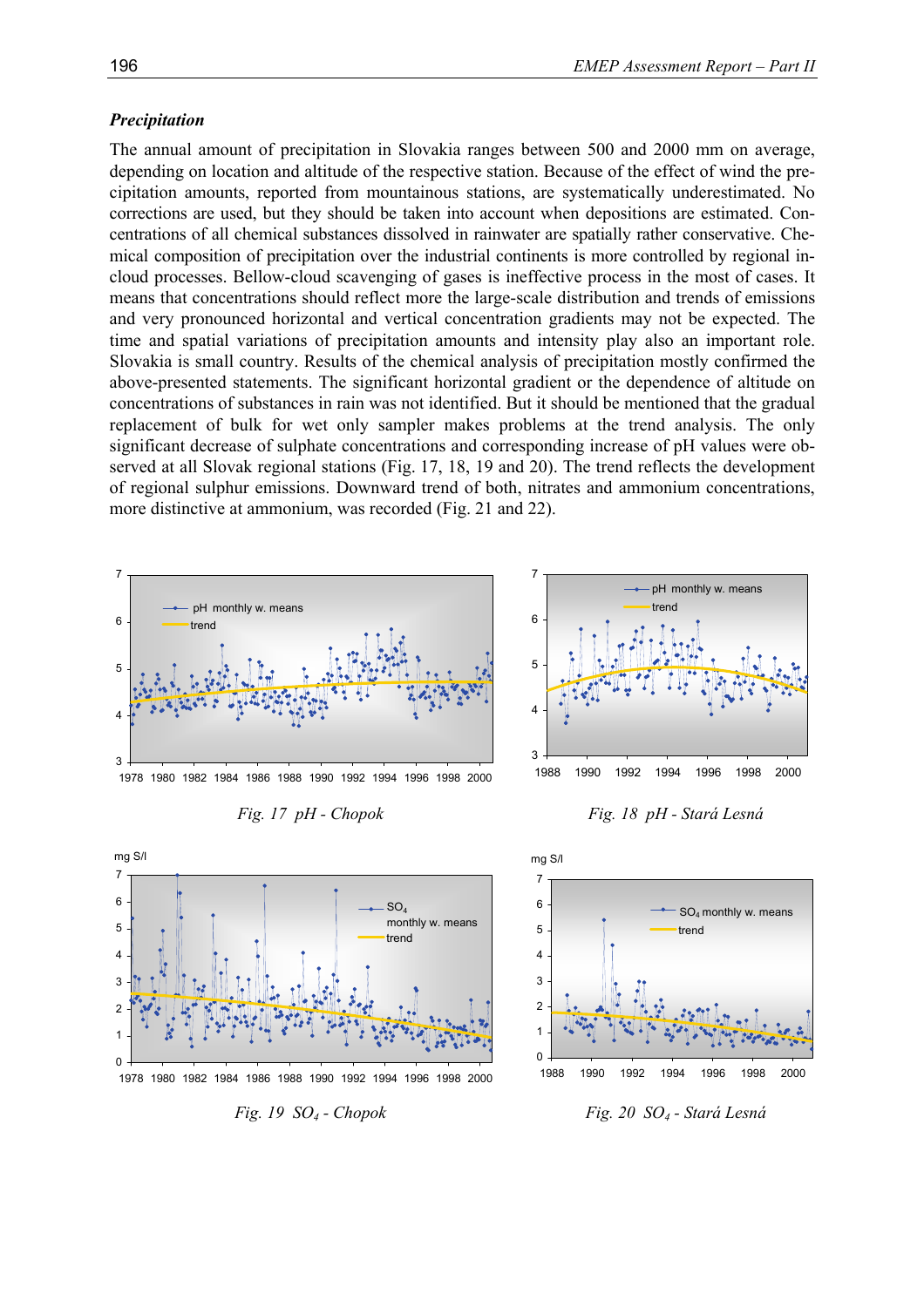## *Precipitation*

The annual amount of precipitation in Slovakia ranges between 500 and 2000 mm on average, depending on location and altitude of the respective station. Because of the effect of wind the precipitation amounts, reported from mountainous stations, are systematically underestimated. No corrections are used, but they should be taken into account when depositions are estimated. Concentrations of all chemical substances dissolved in rainwater are spatially rather conservative. Chemical composition of precipitation over the industrial continents is more controlled by regional incloud processes. Bellow-cloud scavenging of gases is ineffective process in the most of cases. It means that concentrations should reflect more the large-scale distribution and trends of emissions and very pronounced horizontal and vertical concentration gradients may not be expected. The time and spatial variations of precipitation amounts and intensity play also an important role. Slovakia is small country. Results of the chemical analysis of precipitation mostly confirmed the above-presented statements. The significant horizontal gradient or the dependence of altitude on concentrations of substances in rain was not identified. But it should be mentioned that the gradual replacement of bulk for wet only sampler makes problems at the trend analysis. The only significant decrease of sulphate concentrations and corresponding increase of pH values were observed at all Slovak regional stations (Fig. 17, 18, 19 and 20). The trend reflects the development of regional sulphur emissions. Downward trend of both, nitrates and ammonium concentrations, more distinctive at ammonium, was recorded (Fig. 21 and 22).











 $\overline{0}$ 1 2 3 4 5 1988 1990 1992 1994 1996 1998 2000 trend SO4 monthly w. means

6 7

mg S/l